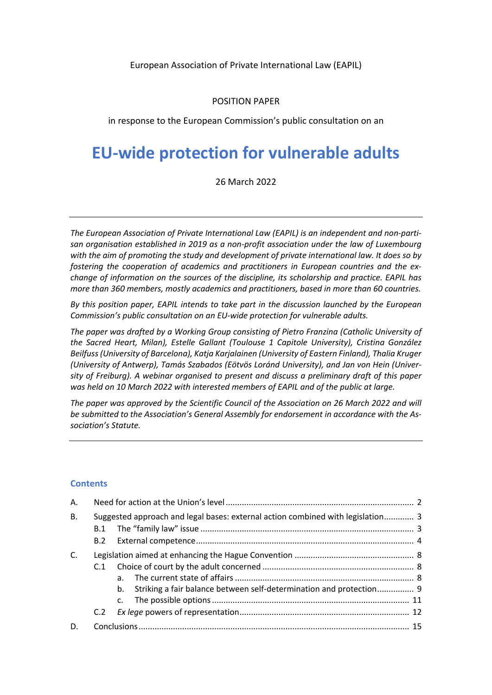#### European Association of Private International Law (EAPIL)

#### POSITION PAPER

in response to the European Commission's public consultation on an

# **EU-wide protection for vulnerable adults**

26 March 2022

*The European Association of Private International Law (EAPIL) is an independent and non-partisan organisation established in 2019 as a non-profit association under the law of Luxembourg with the aim of promoting the study and development of private international law. It does so by fostering the cooperation of academics and practitioners in European countries and the exchange of information on the sources of the discipline, its scholarship and practice. EAPIL has more than 360 members, mostly academics and practitioners, based in more than 60 countries.* 

*By this position paper, EAPIL intends to take part in the discussion launched by the European Commission's public consultation on an EU-wide protection for vulnerable adults.* 

*The paper was drafted by a Working Group consisting of Pietro Franzina (Catholic University of the Sacred Heart, Milan), Estelle Gallant (Toulouse 1 Capitole University), Cristina González Beilfuss (University of Barcelona), Katja Karjalainen (University of Eastern Finland), Thalia Kruger (University of Antwerp), Tamás Szabados (Eötvös Loránd University), and Jan von Hein (University of Freiburg). A webinar organised to present and discuss a preliminary draft of this paper was held on 10 March 2022 with interested members of EAPIL and of the public at large.* 

*The paper was approved by the Scientific Council of the Association on 26 March 2022 and will be submitted to the Association's General Assembly for endorsement in accordance with the Association's Statute.*

#### **Contents**

| А.        |                                                                                 |                                                                        |  |
|-----------|---------------------------------------------------------------------------------|------------------------------------------------------------------------|--|
| <b>B.</b> | Suggested approach and legal bases: external action combined with legislation 3 |                                                                        |  |
|           |                                                                                 |                                                                        |  |
|           |                                                                                 |                                                                        |  |
| C.        |                                                                                 |                                                                        |  |
|           | C.1                                                                             |                                                                        |  |
|           |                                                                                 |                                                                        |  |
|           |                                                                                 | b. Striking a fair balance between self-determination and protection 9 |  |
|           |                                                                                 |                                                                        |  |
|           | C.2                                                                             |                                                                        |  |
| D.        |                                                                                 |                                                                        |  |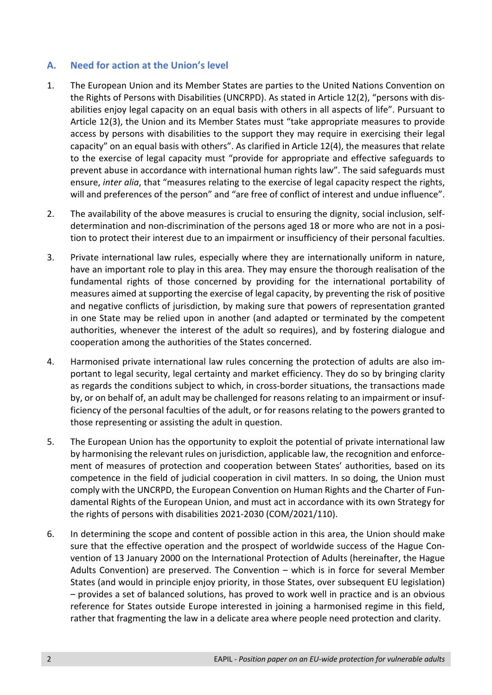#### **A. Need for action at the Union's level**

- 1. The European Union and its Member States are parties to the United Nations Convention on the Rights of Persons with Disabilities (UNCRPD). As stated in Article 12(2), "persons with disabilities enjoy legal capacity on an equal basis with others in all aspects of life". Pursuant to Article 12(3), the Union and its Member States must "take appropriate measures to provide access by persons with disabilities to the support they may require in exercising their legal capacity" on an equal basis with others". As clarified in Article 12(4), the measures that relate to the exercise of legal capacity must "provide for appropriate and effective safeguards to prevent abuse in accordance with international human rights law". The said safeguards must ensure, *inter alia*, that "measures relating to the exercise of legal capacity respect the rights, will and preferences of the person" and "are free of conflict of interest and undue influence".
- 2. The availability of the above measures is crucial to ensuring the dignity, social inclusion, selfdetermination and non-discrimination of the persons aged 18 or more who are not in a position to protect their interest due to an impairment or insufficiency of their personal faculties.
- 3. Private international law rules, especially where they are internationally uniform in nature, have an important role to play in this area. They may ensure the thorough realisation of the fundamental rights of those concerned by providing for the international portability of measures aimed at supporting the exercise of legal capacity, by preventing the risk of positive and negative conflicts of jurisdiction, by making sure that powers of representation granted in one State may be relied upon in another (and adapted or terminated by the competent authorities, whenever the interest of the adult so requires), and by fostering dialogue and cooperation among the authorities of the States concerned.
- 4. Harmonised private international law rules concerning the protection of adults are also important to legal security, legal certainty and market efficiency. They do so by bringing clarity as regards the conditions subject to which, in cross-border situations, the transactions made by, or on behalf of, an adult may be challenged for reasons relating to an impairment or insufficiency of the personal faculties of the adult, or for reasons relating to the powers granted to those representing or assisting the adult in question.
- 5. The European Union has the opportunity to exploit the potential of private international law by harmonising the relevant rules on jurisdiction, applicable law, the recognition and enforcement of measures of protection and cooperation between States' authorities, based on its competence in the field of judicial cooperation in civil matters. In so doing, the Union must comply with the UNCRPD, the European Convention on Human Rights and the Charter of Fundamental Rights of the European Union, and must act in accordance with its own Strategy for the rights of persons with disabilities 2021-2030 (COM/2021/110).
- 6. In determining the scope and content of possible action in this area, the Union should make sure that the effective operation and the prospect of worldwide success of the Hague Convention of 13 January 2000 on the International Protection of Adults (hereinafter, the Hague Adults Convention) are preserved. The Convention – which is in force for several Member States (and would in principle enjoy priority, in those States, over subsequent EU legislation) – provides a set of balanced solutions, has proved to work well in practice and is an obvious reference for States outside Europe interested in joining a harmonised regime in this field, rather that fragmenting the law in a delicate area where people need protection and clarity.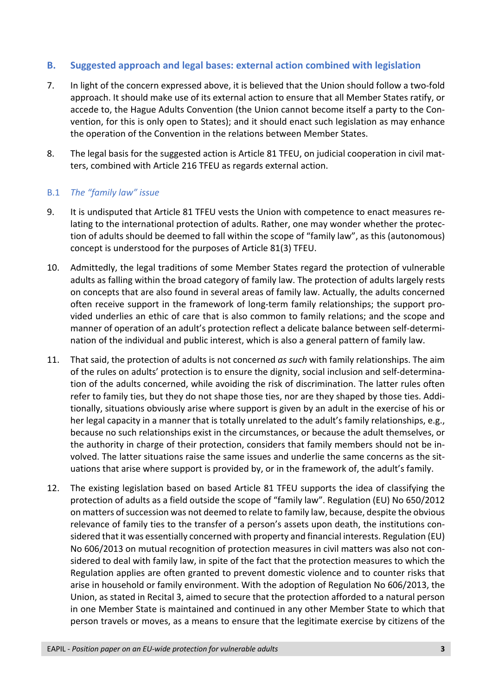## **B. Suggested approach and legal bases: external action combined with legislation**

- 7. In light of the concern expressed above, it is believed that the Union should follow a two-fold approach. It should make use of its external action to ensure that all Member States ratify, or accede to, the Hague Adults Convention (the Union cannot become itself a party to the Convention, for this is only open to States); and it should enact such legislation as may enhance the operation of the Convention in the relations between Member States.
- 8. The legal basis for the suggested action is Article 81 TFEU, on judicial cooperation in civil matters, combined with Article 216 TFEU as regards external action.

#### B.1 *The "family law" issue*

- 9. It is undisputed that Article 81 TFEU vests the Union with competence to enact measures relating to the international protection of adults. Rather, one may wonder whether the protection of adults should be deemed to fall within the scope of "family law", as this (autonomous) concept is understood for the purposes of Article 81(3) TFEU.
- 10. Admittedly, the legal traditions of some Member States regard the protection of vulnerable adults as falling within the broad category of family law. The protection of adults largely rests on concepts that are also found in several areas of family law. Actually, the adults concerned often receive support in the framework of long-term family relationships; the support provided underlies an ethic of care that is also common to family relations; and the scope and manner of operation of an adult's protection reflect a delicate balance between self-determination of the individual and public interest, which is also a general pattern of family law.
- 11. That said, the protection of adults is not concerned *as such* with family relationships. The aim of the rules on adults' protection is to ensure the dignity, social inclusion and self-determination of the adults concerned, while avoiding the risk of discrimination. The latter rules often refer to family ties, but they do not shape those ties, nor are they shaped by those ties. Additionally, situations obviously arise where support is given by an adult in the exercise of his or her legal capacity in a manner that is totally unrelated to the adult's family relationships, e.g., because no such relationships exist in the circumstances, or because the adult themselves, or the authority in charge of their protection, considers that family members should not be involved. The latter situations raise the same issues and underlie the same concerns as the situations that arise where support is provided by, or in the framework of, the adult's family.
- 12. The existing legislation based on based Article 81 TFEU supports the idea of classifying the protection of adults as a field outside the scope of "family law". Regulation (EU) No 650/2012 on matters of succession was not deemed to relate to family law, because, despite the obvious relevance of family ties to the transfer of a person's assets upon death, the institutions considered that it was essentially concerned with property and financial interests. Regulation (EU) No 606/2013 on mutual recognition of protection measures in civil matters was also not considered to deal with family law, in spite of the fact that the protection measures to which the Regulation applies are often granted to prevent domestic violence and to counter risks that arise in household or family environment. With the adoption of Regulation No 606/2013, the Union, as stated in Recital 3, aimed to secure that the protection afforded to a natural person in one Member State is maintained and continued in any other Member State to which that person travels or moves, as a means to ensure that the legitimate exercise by citizens of the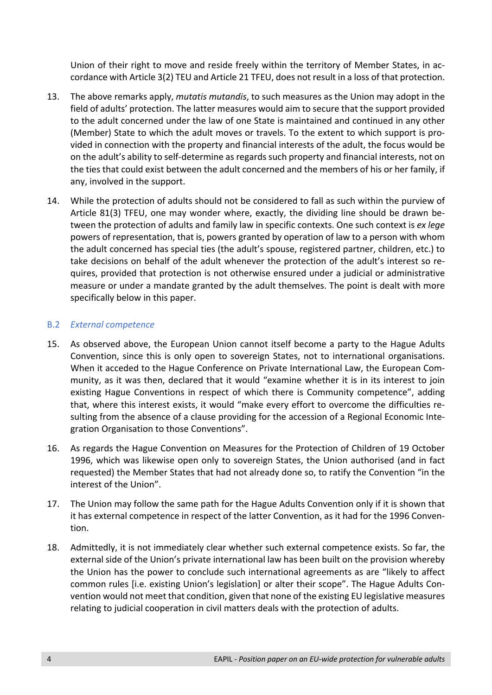Union of their right to move and reside freely within the territory of Member States, in accordance with Article 3(2) TEU and Article 21 TFEU, does not result in a loss of that protection.

- 13. The above remarks apply, *mutatis mutandis*, to such measures as the Union may adopt in the field of adults' protection. The latter measures would aim to secure that the support provided to the adult concerned under the law of one State is maintained and continued in any other (Member) State to which the adult moves or travels. To the extent to which support is provided in connection with the property and financial interests of the adult, the focus would be on the adult's ability to self-determine as regards such property and financial interests, not on the ties that could exist between the adult concerned and the members of his or her family, if any, involved in the support.
- 14. While the protection of adults should not be considered to fall as such within the purview of Article 81(3) TFEU, one may wonder where, exactly, the dividing line should be drawn between the protection of adults and family law in specific contexts. One such context is *ex lege* powers of representation, that is, powers granted by operation of law to a person with whom the adult concerned has special ties (the adult's spouse, registered partner, children, etc.) to take decisions on behalf of the adult whenever the protection of the adult's interest so requires, provided that protection is not otherwise ensured under a judicial or administrative measure or under a mandate granted by the adult themselves. The point is dealt with more specifically below in this paper.

#### B.2 *External competence*

- 15. As observed above, the European Union cannot itself become a party to the Hague Adults Convention, since this is only open to sovereign States, not to international organisations. When it acceded to the Hague Conference on Private International Law, the European Community, as it was then, declared that it would "examine whether it is in its interest to join existing Hague Conventions in respect of which there is Community competence", adding that, where this interest exists, it would "make every effort to overcome the difficulties resulting from the absence of a clause providing for the accession of a Regional Economic Integration Organisation to those Conventions".
- 16. As regards the Hague Convention on Measures for the Protection of Children of 19 October 1996, which was likewise open only to sovereign States, the Union authorised (and in fact requested) the Member States that had not already done so, to ratify the Convention "in the interest of the Union".
- 17. The Union may follow the same path for the Hague Adults Convention only if it is shown that it has external competence in respect of the latter Convention, as it had for the 1996 Convention.
- 18. Admittedly, it is not immediately clear whether such external competence exists. So far, the external side of the Union's private international law has been built on the provision whereby the Union has the power to conclude such international agreements as are "likely to affect common rules [i.e. existing Union's legislation] or alter their scope". The Hague Adults Convention would not meet that condition, given that none of the existing EU legislative measures relating to judicial cooperation in civil matters deals with the protection of adults.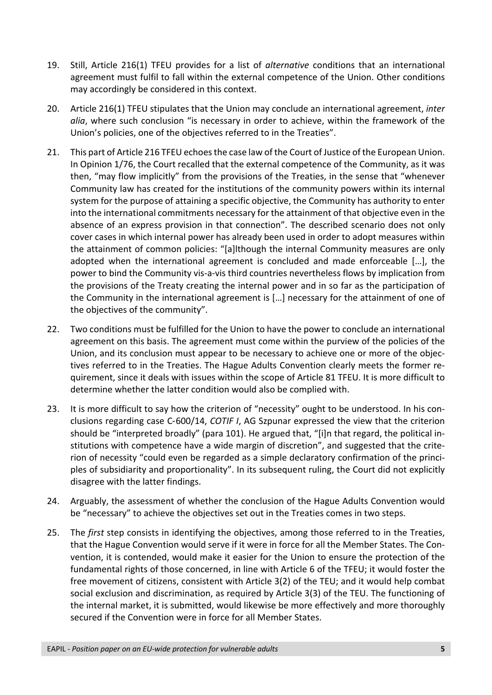- 19. Still, Article 216(1) TFEU provides for a list of *alternative* conditions that an international agreement must fulfil to fall within the external competence of the Union. Other conditions may accordingly be considered in this context.
- 20. Article 216(1) TFEU stipulates that the Union may conclude an international agreement, *inter alia*, where such conclusion "is necessary in order to achieve, within the framework of the Union's policies, one of the objectives referred to in the Treaties".
- 21. This part of Article 216 TFEU echoes the case law of the Court of Justice of the European Union. In Opinion 1/76, the Court recalled that the external competence of the Community, as it was then, "may flow implicitly" from the provisions of the Treaties, in the sense that "whenever Community law has created for the institutions of the community powers within its internal system for the purpose of attaining a specific objective, the Community has authority to enter into the international commitments necessary for the attainment of that objective even in the absence of an express provision in that connection". The described scenario does not only cover cases in which internal power has already been used in order to adopt measures within the attainment of common policies: "[a]lthough the internal Community measures are only adopted when the international agreement is concluded and made enforceable […], the power to bind the Community vis-a-vis third countries nevertheless flows by implication from the provisions of the Treaty creating the internal power and in so far as the participation of the Community in the international agreement is […] necessary for the attainment of one of the objectives of the community".
- 22. Two conditions must be fulfilled for the Union to have the power to conclude an international agreement on this basis. The agreement must come within the purview of the policies of the Union, and its conclusion must appear to be necessary to achieve one or more of the objectives referred to in the Treaties. The Hague Adults Convention clearly meets the former requirement, since it deals with issues within the scope of Article 81 TFEU. It is more difficult to determine whether the latter condition would also be complied with.
- 23. It is more difficult to say how the criterion of "necessity" ought to be understood. In his conclusions regarding case C-600/14, *COTIF I*, AG Szpunar expressed the view that the criterion should be "interpreted broadly" (para 101). He argued that, "[i]n that regard, the political institutions with competence have a wide margin of discretion", and suggested that the criterion of necessity "could even be regarded as a simple declaratory confirmation of the principles of subsidiarity and proportionality". In its subsequent ruling, the Court did not explicitly disagree with the latter findings.
- 24. Arguably, the assessment of whether the conclusion of the Hague Adults Convention would be "necessary" to achieve the objectives set out in the Treaties comes in two steps.
- 25. The *first* step consists in identifying the objectives, among those referred to in the Treaties, that the Hague Convention would serve if it were in force for all the Member States. The Convention, it is contended, would make it easier for the Union to ensure the protection of the fundamental rights of those concerned, in line with Article 6 of the TFEU; it would foster the free movement of citizens, consistent with Article 3(2) of the TEU; and it would help combat social exclusion and discrimination, as required by Article 3(3) of the TEU. The functioning of the internal market, it is submitted, would likewise be more effectively and more thoroughly secured if the Convention were in force for all Member States.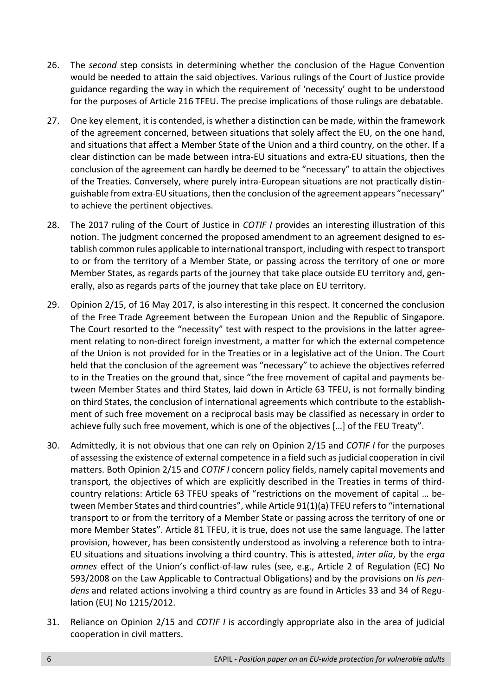- 26. The *second* step consists in determining whether the conclusion of the Hague Convention would be needed to attain the said objectives. Various rulings of the Court of Justice provide guidance regarding the way in which the requirement of 'necessity' ought to be understood for the purposes of Article 216 TFEU. The precise implications of those rulings are debatable.
- 27. One key element, it is contended, is whether a distinction can be made, within the framework of the agreement concerned, between situations that solely affect the EU, on the one hand, and situations that affect a Member State of the Union and a third country, on the other. If a clear distinction can be made between intra-EU situations and extra-EU situations, then the conclusion of the agreement can hardly be deemed to be "necessary" to attain the objectives of the Treaties. Conversely, where purely intra-European situations are not practically distinguishable from extra-EU situations, then the conclusion of the agreement appears "necessary" to achieve the pertinent objectives.
- 28. The 2017 ruling of the Court of Justice in *COTIF I* provides an interesting illustration of this notion. The judgment concerned the proposed amendment to an agreement designed to establish common rules applicable to international transport, including with respect to transport to or from the territory of a Member State, or passing across the territory of one or more Member States, as regards parts of the journey that take place outside EU territory and, generally, also as regards parts of the journey that take place on EU territory.
- 29. Opinion 2/15, of 16 May 2017, is also interesting in this respect. It concerned the conclusion of the Free Trade Agreement between the European Union and the Republic of Singapore. The Court resorted to the "necessity" test with respect to the provisions in the latter agreement relating to non-direct foreign investment, a matter for which the external competence of the Union is not provided for in the Treaties or in a legislative act of the Union. The Court held that the conclusion of the agreement was "necessary" to achieve the objectives referred to in the Treaties on the ground that, since "the free movement of capital and payments between Member States and third States, laid down in Article 63 TFEU, is not formally binding on third States, the conclusion of international agreements which contribute to the establishment of such free movement on a reciprocal basis may be classified as necessary in order to achieve fully such free movement, which is one of the objectives […] of the FEU Treaty".
- 30. Admittedly, it is not obvious that one can rely on Opinion 2/15 and *COTIF I* for the purposes of assessing the existence of external competence in a field such as judicial cooperation in civil matters. Both Opinion 2/15 and *COTIF I* concern policy fields, namely capital movements and transport, the objectives of which are explicitly described in the Treaties in terms of thirdcountry relations: Article 63 TFEU speaks of "restrictions on the movement of capital … between Member States and third countries", while Article 91(1)(a) TFEU refers to "international transport to or from the territory of a Member State or passing across the territory of one or more Member States". Article 81 TFEU, it is true, does not use the same language. The latter provision, however, has been consistently understood as involving a reference both to intra-EU situations and situations involving a third country. This is attested, *inter alia*, by the *erga omnes* effect of the Union's conflict-of-law rules (see, e.g., Article 2 of Regulation (EC) No 593/2008 on the Law Applicable to Contractual Obligations) and by the provisions on *lis pendens* and related actions involving a third country as are found in Articles 33 and 34 of Regulation (EU) No 1215/2012.
- 31. Reliance on Opinion 2/15 and *COTIF I* is accordingly appropriate also in the area of judicial cooperation in civil matters.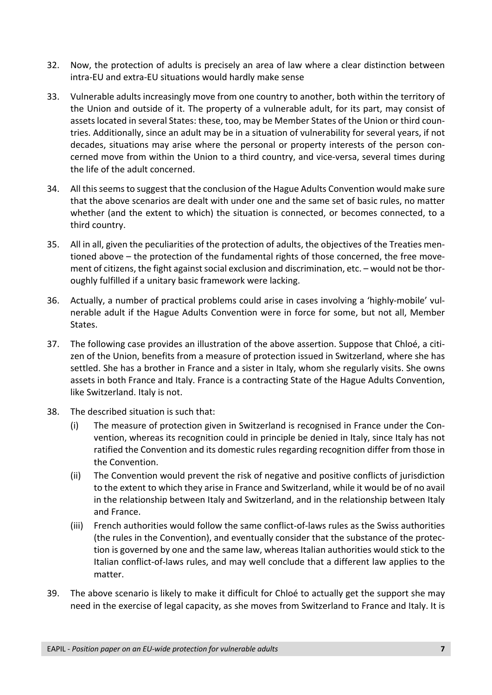- 32. Now, the protection of adults is precisely an area of law where a clear distinction between intra-EU and extra-EU situations would hardly make sense
- 33. Vulnerable adults increasingly move from one country to another, both within the territory of the Union and outside of it. The property of a vulnerable adult, for its part, may consist of assets located in several States: these, too, may be Member States of the Union or third countries. Additionally, since an adult may be in a situation of vulnerability for several years, if not decades, situations may arise where the personal or property interests of the person concerned move from within the Union to a third country, and vice-versa, several times during the life of the adult concerned.
- 34. All this seems to suggest that the conclusion of the Hague Adults Convention would make sure that the above scenarios are dealt with under one and the same set of basic rules, no matter whether (and the extent to which) the situation is connected, or becomes connected, to a third country.
- 35. All in all, given the peculiarities of the protection of adults, the objectives of the Treaties mentioned above – the protection of the fundamental rights of those concerned, the free movement of citizens, the fight against social exclusion and discrimination, etc. – would not be thoroughly fulfilled if a unitary basic framework were lacking.
- 36. Actually, a number of practical problems could arise in cases involving a 'highly-mobile' vulnerable adult if the Hague Adults Convention were in force for some, but not all, Member States.
- 37. The following case provides an illustration of the above assertion. Suppose that Chloé, a citizen of the Union, benefits from a measure of protection issued in Switzerland, where she has settled. She has a brother in France and a sister in Italy, whom she regularly visits. She owns assets in both France and Italy. France is a contracting State of the Hague Adults Convention, like Switzerland. Italy is not.
- 38. The described situation is such that:
	- (i) The measure of protection given in Switzerland is recognised in France under the Convention, whereas its recognition could in principle be denied in Italy, since Italy has not ratified the Convention and its domestic rules regarding recognition differ from those in the Convention.
	- (ii) The Convention would prevent the risk of negative and positive conflicts of jurisdiction to the extent to which they arise in France and Switzerland, while it would be of no avail in the relationship between Italy and Switzerland, and in the relationship between Italy and France.
	- (iii) French authorities would follow the same conflict-of-laws rules as the Swiss authorities (the rules in the Convention), and eventually consider that the substance of the protection is governed by one and the same law, whereas Italian authorities would stick to the Italian conflict-of-laws rules, and may well conclude that a different law applies to the matter.
- 39. The above scenario is likely to make it difficult for Chloé to actually get the support she may need in the exercise of legal capacity, as she moves from Switzerland to France and Italy. It is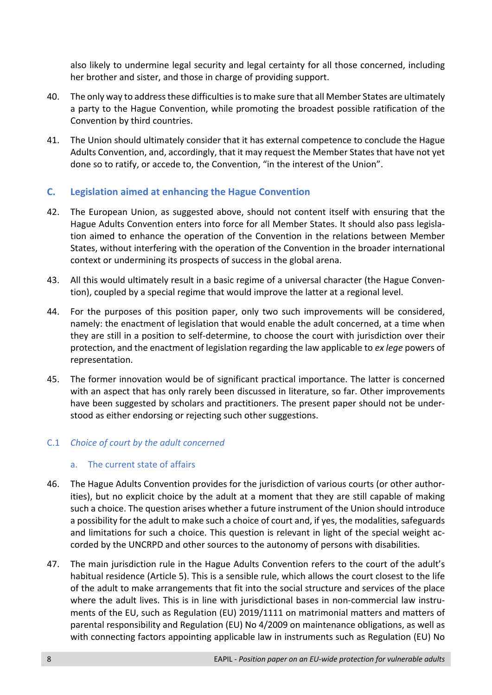also likely to undermine legal security and legal certainty for all those concerned, including her brother and sister, and those in charge of providing support.

- 40. The only way to address these difficulties is to make sure that all Member States are ultimately a party to the Hague Convention, while promoting the broadest possible ratification of the Convention by third countries.
- 41. The Union should ultimately consider that it has external competence to conclude the Hague Adults Convention, and, accordingly, that it may request the Member States that have not yet done so to ratify, or accede to, the Convention, "in the interest of the Union".

## **C. Legislation aimed at enhancing the Hague Convention**

- 42. The European Union, as suggested above, should not content itself with ensuring that the Hague Adults Convention enters into force for all Member States. It should also pass legislation aimed to enhance the operation of the Convention in the relations between Member States, without interfering with the operation of the Convention in the broader international context or undermining its prospects of success in the global arena.
- 43. All this would ultimately result in a basic regime of a universal character (the Hague Convention), coupled by a special regime that would improve the latter at a regional level.
- 44. For the purposes of this position paper, only two such improvements will be considered, namely: the enactment of legislation that would enable the adult concerned, at a time when they are still in a position to self-determine, to choose the court with jurisdiction over their protection, and the enactment of legislation regarding the law applicable to *ex lege* powers of representation.
- 45. The former innovation would be of significant practical importance. The latter is concerned with an aspect that has only rarely been discussed in literature, so far. Other improvements have been suggested by scholars and practitioners. The present paper should not be understood as either endorsing or rejecting such other suggestions.

# C.1 *Choice of court by the adult concerned*

#### a. The current state of affairs

- 46. The Hague Adults Convention provides for the jurisdiction of various courts (or other authorities), but no explicit choice by the adult at a moment that they are still capable of making such a choice. The question arises whether a future instrument of the Union should introduce a possibility for the adult to make such a choice of court and, if yes, the modalities, safeguards and limitations for such a choice. This question is relevant in light of the special weight accorded by the UNCRPD and other sources to the autonomy of persons with disabilities.
- 47. The main jurisdiction rule in the Hague Adults Convention refers to the court of the adult's habitual residence (Article 5). This is a sensible rule, which allows the court closest to the life of the adult to make arrangements that fit into the social structure and services of the place where the adult lives. This is in line with jurisdictional bases in non-commercial law instruments of the EU, such as Regulation (EU) 2019/1111 on matrimonial matters and matters of parental responsibility and Regulation (EU) No 4/2009 on maintenance obligations, as well as with connecting factors appointing applicable law in instruments such as Regulation (EU) No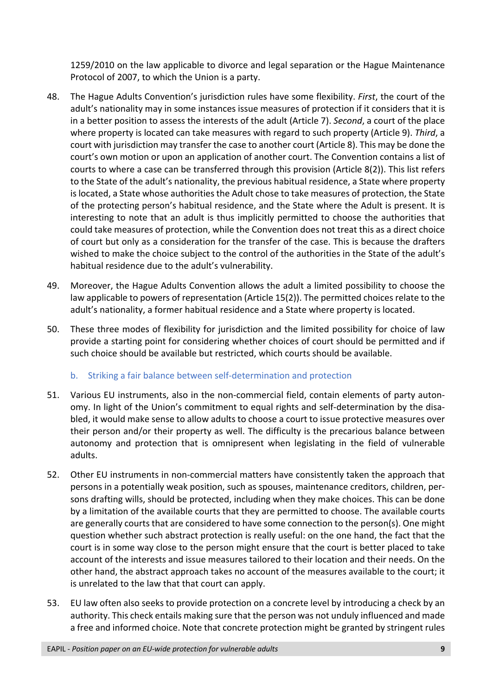1259/2010 on the law applicable to divorce and legal separation or the Hague Maintenance Protocol of 2007, to which the Union is a party.

- 48. The Hague Adults Convention's jurisdiction rules have some flexibility. *First*, the court of the adult's nationality may in some instances issue measures of protection if it considers that it is in a better position to assess the interests of the adult (Article 7). *Second*, a court of the place where property is located can take measures with regard to such property (Article 9). *Third*, a court with jurisdiction may transfer the case to another court (Article 8). This may be done the court's own motion or upon an application of another court. The Convention contains a list of courts to where a case can be transferred through this provision (Article 8(2)). This list refers to the State of the adult's nationality, the previous habitual residence, a State where property is located, a State whose authorities the Adult chose to take measures of protection, the State of the protecting person's habitual residence, and the State where the Adult is present. It is interesting to note that an adult is thus implicitly permitted to choose the authorities that could take measures of protection, while the Convention does not treat this as a direct choice of court but only as a consideration for the transfer of the case. This is because the drafters wished to make the choice subject to the control of the authorities in the State of the adult's habitual residence due to the adult's vulnerability.
- 49. Moreover, the Hague Adults Convention allows the adult a limited possibility to choose the law applicable to powers of representation (Article 15(2)). The permitted choices relate to the adult's nationality, a former habitual residence and a State where property is located.
- 50. These three modes of flexibility for jurisdiction and the limited possibility for choice of law provide a starting point for considering whether choices of court should be permitted and if such choice should be available but restricted, which courts should be available.

# b. Striking a fair balance between self-determination and protection

- 51. Various EU instruments, also in the non-commercial field, contain elements of party autonomy. In light of the Union's commitment to equal rights and self-determination by the disabled, it would make sense to allow adults to choose a court to issue protective measures over their person and/or their property as well. The difficulty is the precarious balance between autonomy and protection that is omnipresent when legislating in the field of vulnerable adults.
- 52. Other EU instruments in non-commercial matters have consistently taken the approach that persons in a potentially weak position, such as spouses, maintenance creditors, children, persons drafting wills, should be protected, including when they make choices. This can be done by a limitation of the available courts that they are permitted to choose. The available courts are generally courts that are considered to have some connection to the person(s). One might question whether such abstract protection is really useful: on the one hand, the fact that the court is in some way close to the person might ensure that the court is better placed to take account of the interests and issue measures tailored to their location and their needs. On the other hand, the abstract approach takes no account of the measures available to the court; it is unrelated to the law that that court can apply.
- 53. EU law often also seeks to provide protection on a concrete level by introducing a check by an authority. This check entails making sure that the person was not unduly influenced and made a free and informed choice. Note that concrete protection might be granted by stringent rules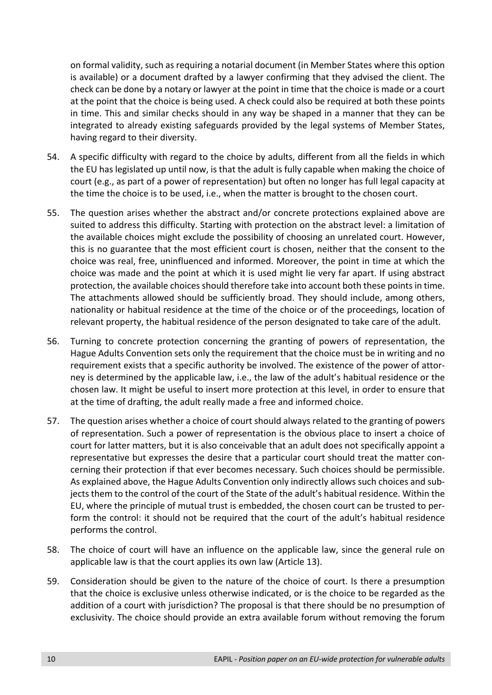on formal validity, such as requiring a notarial document (in Member States where this option is available) or a document drafted by a lawyer confirming that they advised the client. The check can be done by a notary or lawyer at the point in time that the choice is made or a court at the point that the choice is being used. A check could also be required at both these points in time. This and similar checks should in any way be shaped in a manner that they can be integrated to already existing safeguards provided by the legal systems of Member States, having regard to their diversity.

- 54. A specific difficulty with regard to the choice by adults, different from all the fields in which the EU has legislated up until now, is that the adult is fully capable when making the choice of court (e.g., as part of a power of representation) but often no longer has full legal capacity at the time the choice is to be used, i.e., when the matter is brought to the chosen court.
- 55. The question arises whether the abstract and/or concrete protections explained above are suited to address this difficulty. Starting with protection on the abstract level: a limitation of the available choices might exclude the possibility of choosing an unrelated court. However, this is no guarantee that the most efficient court is chosen, neither that the consent to the choice was real, free, uninfluenced and informed. Moreover, the point in time at which the choice was made and the point at which it is used might lie very far apart. If using abstract protection, the available choices should therefore take into account both these points in time. The attachments allowed should be sufficiently broad. They should include, among others, nationality or habitual residence at the time of the choice or of the proceedings, location of relevant property, the habitual residence of the person designated to take care of the adult.
- 56. Turning to concrete protection concerning the granting of powers of representation, the Hague Adults Convention sets only the requirement that the choice must be in writing and no requirement exists that a specific authority be involved. The existence of the power of attorney is determined by the applicable law, i.e., the law of the adult's habitual residence or the chosen law. It might be useful to insert more protection at this level, in order to ensure that at the time of drafting, the adult really made a free and informed choice.
- 57. The question arises whether a choice of court should always related to the granting of powers of representation. Such a power of representation is the obvious place to insert a choice of court for latter matters, but it is also conceivable that an adult does not specifically appoint a representative but expresses the desire that a particular court should treat the matter concerning their protection if that ever becomes necessary. Such choices should be permissible. As explained above, the Hague Adults Convention only indirectly allows such choices and subjects them to the control of the court of the State of the adult's habitual residence. Within the EU, where the principle of mutual trust is embedded, the chosen court can be trusted to perform the control: it should not be required that the court of the adult's habitual residence performs the control.
- 58. The choice of court will have an influence on the applicable law, since the general rule on applicable law is that the court applies its own law (Article 13).
- 59. Consideration should be given to the nature of the choice of court. Is there a presumption that the choice is exclusive unless otherwise indicated, or is the choice to be regarded as the addition of a court with jurisdiction? The proposal is that there should be no presumption of exclusivity. The choice should provide an extra available forum without removing the forum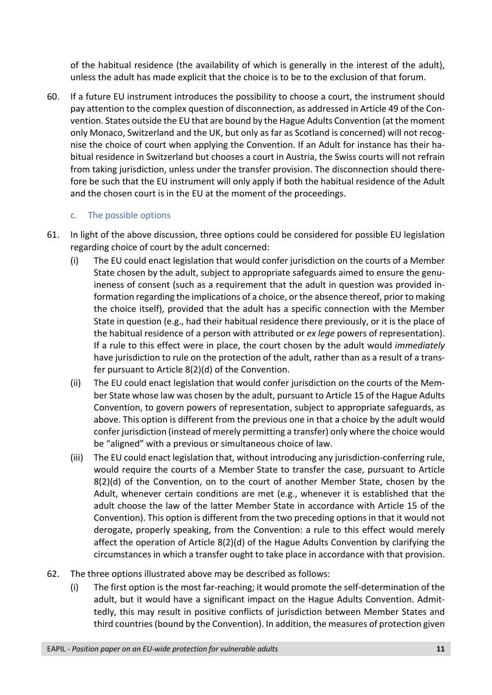of the habitual residence (the availability of which is generally in the interest of the adult), unless the adult has made explicit that the choice is to be to the exclusion of that forum.

60. If a future EU instrument introduces the possibility to choose a court, the instrument should pay attention to the complex question of disconnection, as addressed in Article 49 of the Convention. States outside the EU that are bound by the Hague Adults Convention (at the moment only Monaco, Switzerland and the UK, but only as far as Scotland is concerned) will not recognise the choice of court when applying the Convention. If an Adult for instance has their habitual residence in Switzerland but chooses a court in Austria, the Swiss courts will not refrain from taking jurisdiction, unless under the transfer provision. The disconnection should therefore be such that the EU instrument will only apply if both the habitual residence of the Adult and the chosen court is in the EU at the moment of the proceedings.

## c. The possible options

- 61. In light of the above discussion, three options could be considered for possible EU legislation regarding choice of court by the adult concerned:
	- (i) The EU could enact legislation that would confer jurisdiction on the courts of a Member State chosen by the adult, subject to appropriate safeguards aimed to ensure the genuineness of consent (such as a requirement that the adult in question was provided information regarding the implications of a choice, or the absence thereof, prior to making the choice itself), provided that the adult has a specific connection with the Member State in question (e.g., had their habitual residence there previously, or it is the place of the habitual residence of a person with attributed or *ex lege* powers of representation). If a rule to this effect were in place, the court chosen by the adult would *immediately* have jurisdiction to rule on the protection of the adult, rather than as a result of a transfer pursuant to Article 8(2)(d) of the Convention.
	- (ii) The EU could enact legislation that would confer jurisdiction on the courts of the Member State whose law was chosen by the adult, pursuant to Article 15 of the Hague Adults Convention, to govern powers of representation, subject to appropriate safeguards, as above. This option is different from the previous one in that a choice by the adult would confer jurisdiction (instead of merely permitting a transfer) only where the choice would be "aligned" with a previous or simultaneous choice of law.
	- (iii) The EU could enact legislation that, without introducing any jurisdiction-conferring rule, would require the courts of a Member State to transfer the case, pursuant to Article  $8(2)(d)$  of the Convention, on to the court of another Member State, chosen by the Adult, whenever certain conditions are met (e.g., whenever it is established that the adult choose the law of the latter Member State in accordance with Article 15 of the Convention). This option is different from the two preceding options in that it would not derogate, properly speaking, from the Convention: a rule to this effect would merely affect the operation of Article 8(2)(d) of the Hague Adults Convention by clarifying the circumstances in which a transfer ought to take place in accordance with that provision.
- 62. The three options illustrated above may be described as follows:
	- (i) The first option is the most far-reaching; it would promote the self-determination of the adult, but it would have a significant impact on the Hague Adults Convention. Admittedly, this may result in positive conflicts of jurisdiction between Member States and third countries (bound by the Convention). In addition, the measures of protection given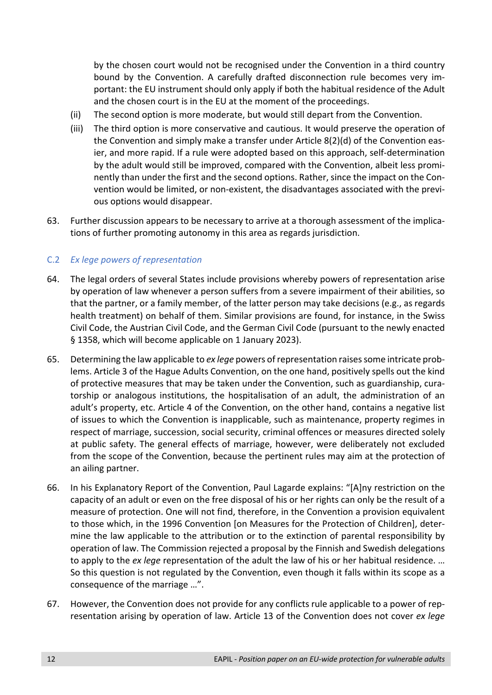by the chosen court would not be recognised under the Convention in a third country bound by the Convention. A carefully drafted disconnection rule becomes very important: the EU instrument should only apply if both the habitual residence of the Adult and the chosen court is in the EU at the moment of the proceedings.

- (ii) The second option is more moderate, but would still depart from the Convention.
- (iii) The third option is more conservative and cautious. It would preserve the operation of the Convention and simply make a transfer under Article 8(2)(d) of the Convention easier, and more rapid. If a rule were adopted based on this approach, self-determination by the adult would still be improved, compared with the Convention, albeit less prominently than under the first and the second options. Rather, since the impact on the Convention would be limited, or non-existent, the disadvantages associated with the previous options would disappear.
- 63. Further discussion appears to be necessary to arrive at a thorough assessment of the implications of further promoting autonomy in this area as regards jurisdiction.

## C.2 *Ex lege powers of representation*

- 64. The legal orders of several States include provisions whereby powers of representation arise by operation of law whenever a person suffers from a severe impairment of their abilities, so that the partner, or a family member, of the latter person may take decisions (e.g., as regards health treatment) on behalf of them. Similar provisions are found, for instance, in the Swiss Civil Code, the Austrian Civil Code, and the German Civil Code (pursuant to the newly enacted § 1358, which will become applicable on 1 January 2023).
- 65. Determining the law applicable to *ex lege* powers of representation raises some intricate problems. Article 3 of the Hague Adults Convention, on the one hand, positively spells out the kind of protective measures that may be taken under the Convention, such as guardianship, curatorship or analogous institutions, the hospitalisation of an adult, the administration of an adult's property, etc. Article 4 of the Convention, on the other hand, contains a negative list of issues to which the Convention is inapplicable, such as maintenance, property regimes in respect of marriage, succession, social security, criminal offences or measures directed solely at public safety. The general effects of marriage, however, were deliberately not excluded from the scope of the Convention, because the pertinent rules may aim at the protection of an ailing partner.
- 66. In his Explanatory Report of the Convention, Paul Lagarde explains: "[A]ny restriction on the capacity of an adult or even on the free disposal of his or her rights can only be the result of a measure of protection. One will not find, therefore, in the Convention a provision equivalent to those which, in the 1996 Convention [on Measures for the Protection of Children], determine the law applicable to the attribution or to the extinction of parental responsibility by operation of law. The Commission rejected a proposal by the Finnish and Swedish delegations to apply to the *ex lege* representation of the adult the law of his or her habitual residence. … So this question is not regulated by the Convention, even though it falls within its scope as a consequence of the marriage …".
- 67. However, the Convention does not provide for any conflicts rule applicable to a power of representation arising by operation of law. Article 13 of the Convention does not cover *ex lege*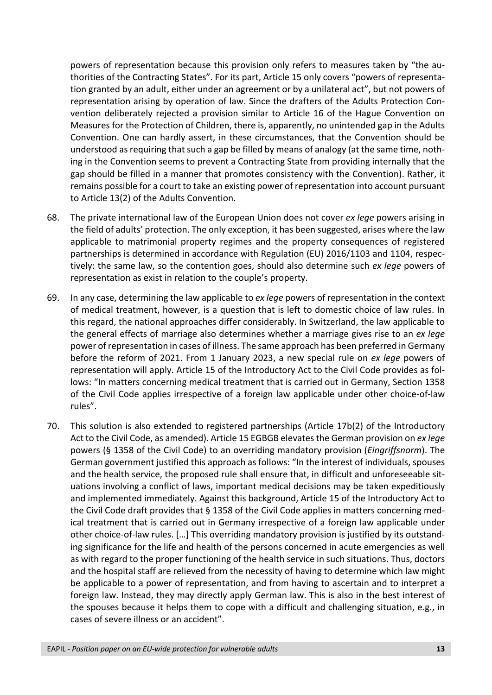powers of representation because this provision only refers to measures taken by "the authorities of the Contracting States". For its part, Article 15 only covers "powers of representation granted by an adult, either under an agreement or by a unilateral act", but not powers of representation arising by operation of law. Since the drafters of the Adults Protection Convention deliberately rejected a provision similar to Article 16 of the Hague Convention on Measures for the Protection of Children, there is, apparently, no unintended gap in the Adults Convention. One can hardly assert, in these circumstances, that the Convention should be understood as requiring that such a gap be filled by means of analogy (at the same time, nothing in the Convention seems to prevent a Contracting State from providing internally that the gap should be filled in a manner that promotes consistency with the Convention). Rather, it remains possible for a court to take an existing power of representation into account pursuant to Article 13(2) of the Adults Convention.

- 68. The private international law of the European Union does not cover *ex lege* powers arising in the field of adults' protection. The only exception, it has been suggested, arises where the law applicable to matrimonial property regimes and the property consequences of registered partnerships is determined in accordance with Regulation (EU) 2016/1103 and 1104, respectively: the same law, so the contention goes, should also determine such *ex lege* powers of representation as exist in relation to the couple's property.
- 69. In any case, determining the law applicable to *ex lege* powers of representation in the context of medical treatment, however, is a question that is left to domestic choice of law rules. In this regard, the national approaches differ considerably. In Switzerland, the law applicable to the general effects of marriage also determines whether a marriage gives rise to an *ex lege* power of representation in cases of illness. The same approach has been preferred in Germany before the reform of 2021. From 1 January 2023, a new special rule on *ex lege* powers of representation will apply. Article 15 of the Introductory Act to the Civil Code provides as follows: "In matters concerning medical treatment that is carried out in Germany, Section 1358 of the Civil Code applies irrespective of a foreign law applicable under other choice-of-law rules".
- 70. This solution is also extended to registered partnerships (Article 17b(2) of the Introductory Act to the Civil Code, as amended). Article 15 EGBGB elevates the German provision on *ex lege* powers (§ 1358 of the Civil Code) to an overriding mandatory provision (*Eingriffsnorm*). The German government justified this approach as follows: "In the interest of individuals, spouses and the health service, the proposed rule shall ensure that, in difficult and unforeseeable situations involving a conflict of laws, important medical decisions may be taken expeditiously and implemented immediately. Against this background, Article 15 of the Introductory Act to the Civil Code draft provides that § 1358 of the Civil Code applies in matters concerning medical treatment that is carried out in Germany irrespective of a foreign law applicable under other choice-of-law rules. […] This overriding mandatory provision is justified by its outstanding significance for the life and health of the persons concerned in acute emergencies as well as with regard to the proper functioning of the health service in such situations. Thus, doctors and the hospital staff are relieved from the necessity of having to determine which law might be applicable to a power of representation, and from having to ascertain and to interpret a foreign law. Instead, they may directly apply German law. This is also in the best interest of the spouses because it helps them to cope with a difficult and challenging situation, e.g., in cases of severe illness or an accident".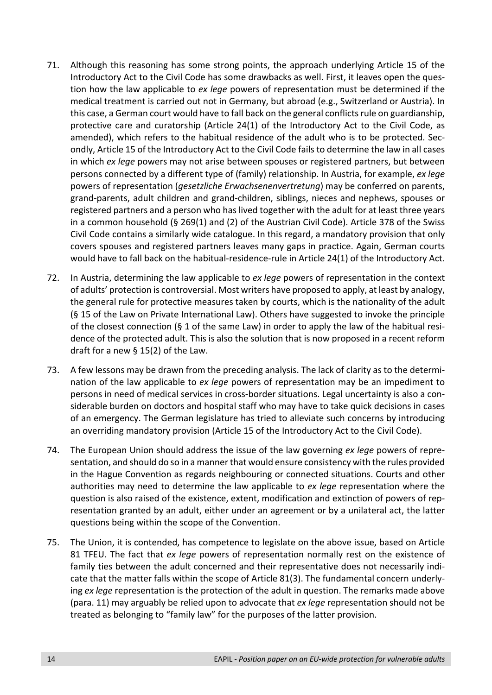- 71. Although this reasoning has some strong points, the approach underlying Article 15 of the Introductory Act to the Civil Code has some drawbacks as well. First, it leaves open the question how the law applicable to *ex lege* powers of representation must be determined if the medical treatment is carried out not in Germany, but abroad (e.g., Switzerland or Austria). In this case, a German court would have to fall back on the general conflicts rule on guardianship, protective care and curatorship (Article 24(1) of the Introductory Act to the Civil Code, as amended), which refers to the habitual residence of the adult who is to be protected. Secondly, Article 15 of the Introductory Act to the Civil Code fails to determine the law in all cases in which *ex lege* powers may not arise between spouses or registered partners, but between persons connected by a different type of (family) relationship. In Austria, for example, *ex lege* powers of representation (*gesetzliche Erwachsenenvertretung*) may be conferred on parents, grand-parents, adult children and grand-children, siblings, nieces and nephews, spouses or registered partners and a person who has lived together with the adult for at least three years in a common household (§ 269(1) and (2) of the Austrian Civil Code). Article 378 of the Swiss Civil Code contains a similarly wide catalogue. In this regard, a mandatory provision that only covers spouses and registered partners leaves many gaps in practice. Again, German courts would have to fall back on the habitual-residence-rule in Article 24(1) of the Introductory Act.
- 72. In Austria, determining the law applicable to *ex lege* powers of representation in the context of adults' protection is controversial. Most writers have proposed to apply, at least by analogy, the general rule for protective measures taken by courts, which is the nationality of the adult (§ 15 of the Law on Private International Law). Others have suggested to invoke the principle of the closest connection (§ 1 of the same Law) in order to apply the law of the habitual residence of the protected adult. This is also the solution that is now proposed in a recent reform draft for a new § 15(2) of the Law.
- 73. A few lessons may be drawn from the preceding analysis. The lack of clarity as to the determination of the law applicable to *ex lege* powers of representation may be an impediment to persons in need of medical services in cross-border situations. Legal uncertainty is also a considerable burden on doctors and hospital staff who may have to take quick decisions in cases of an emergency. The German legislature has tried to alleviate such concerns by introducing an overriding mandatory provision (Article 15 of the Introductory Act to the Civil Code).
- 74. The European Union should address the issue of the law governing *ex lege* powers of representation, and should do so in a manner that would ensure consistency with the rules provided in the Hague Convention as regards neighbouring or connected situations. Courts and other authorities may need to determine the law applicable to *ex lege* representation where the question is also raised of the existence, extent, modification and extinction of powers of representation granted by an adult, either under an agreement or by a unilateral act, the latter questions being within the scope of the Convention.
- 75. The Union, it is contended, has competence to legislate on the above issue, based on Article 81 TFEU. The fact that *ex lege* powers of representation normally rest on the existence of family ties between the adult concerned and their representative does not necessarily indicate that the matter falls within the scope of Article 81(3). The fundamental concern underlying *ex lege* representation is the protection of the adult in question. The remarks made above (para. 11) may arguably be relied upon to advocate that *ex lege* representation should not be treated as belonging to "family law" for the purposes of the latter provision.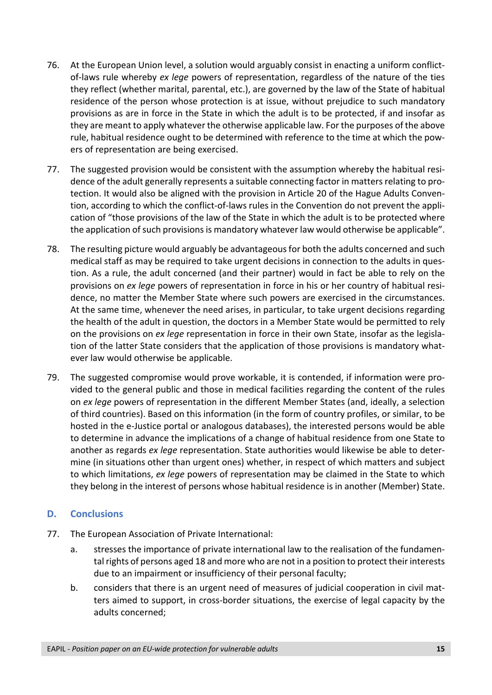- 76. At the European Union level, a solution would arguably consist in enacting a uniform conflictof-laws rule whereby *ex lege* powers of representation, regardless of the nature of the ties they reflect (whether marital, parental, etc.), are governed by the law of the State of habitual residence of the person whose protection is at issue, without prejudice to such mandatory provisions as are in force in the State in which the adult is to be protected, if and insofar as they are meant to apply whatever the otherwise applicable law. For the purposes of the above rule, habitual residence ought to be determined with reference to the time at which the powers of representation are being exercised.
- 77. The suggested provision would be consistent with the assumption whereby the habitual residence of the adult generally represents a suitable connecting factor in matters relating to protection. It would also be aligned with the provision in Article 20 of the Hague Adults Convention, according to which the conflict-of-laws rules in the Convention do not prevent the application of "those provisions of the law of the State in which the adult is to be protected where the application of such provisions is mandatory whatever law would otherwise be applicable".
- 78. The resulting picture would arguably be advantageous for both the adults concerned and such medical staff as may be required to take urgent decisions in connection to the adults in question. As a rule, the adult concerned (and their partner) would in fact be able to rely on the provisions on *ex lege* powers of representation in force in his or her country of habitual residence, no matter the Member State where such powers are exercised in the circumstances. At the same time, whenever the need arises, in particular, to take urgent decisions regarding the health of the adult in question, the doctors in a Member State would be permitted to rely on the provisions on *ex lege* representation in force in their own State, insofar as the legislation of the latter State considers that the application of those provisions is mandatory whatever law would otherwise be applicable.
- 79. The suggested compromise would prove workable, it is contended, if information were provided to the general public and those in medical facilities regarding the content of the rules on *ex lege* powers of representation in the different Member States (and, ideally, a selection of third countries). Based on this information (in the form of country profiles, or similar, to be hosted in the e-Justice portal or analogous databases), the interested persons would be able to determine in advance the implications of a change of habitual residence from one State to another as regards *ex lege* representation. State authorities would likewise be able to determine (in situations other than urgent ones) whether, in respect of which matters and subject to which limitations, *ex lege* powers of representation may be claimed in the State to which they belong in the interest of persons whose habitual residence is in another (Member) State.

# **D. Conclusions**

- 77. The European Association of Private International:
	- a. stresses the importance of private international law to the realisation of the fundamental rights of persons aged 18 and more who are not in a position to protect their interests due to an impairment or insufficiency of their personal faculty;
	- b. considers that there is an urgent need of measures of judicial cooperation in civil matters aimed to support, in cross-border situations, the exercise of legal capacity by the adults concerned;